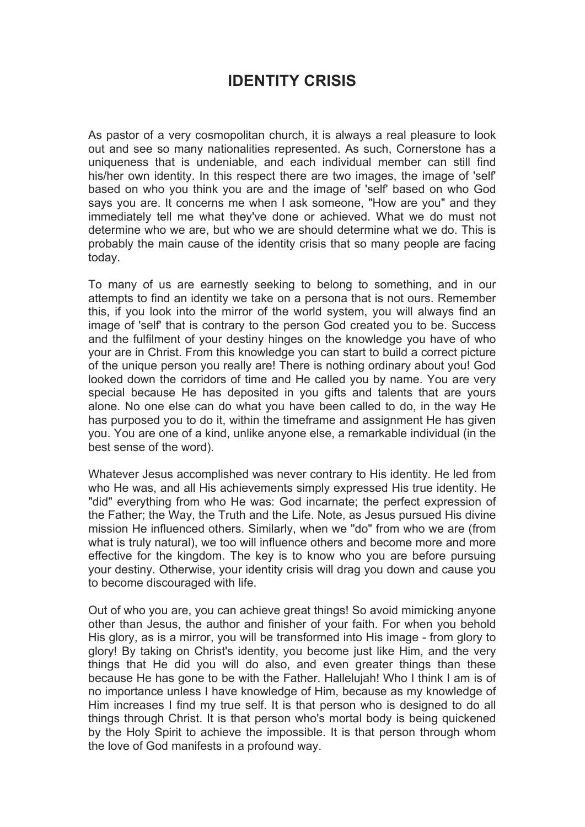## **IDENTITY CRISIS**

As pastor of a very cosmopolitan church, it is always a real pleasure to look out and see so many nationalities represented. As such, Cornerstone has a uniqueness that is undeniable, and each individual member can still find his/her own identity. In this respect there are two images, the image of 'self' based on who you think you are and the image of 'self' based on who God says you are. It concerns me when I ask someone, "How are you" and they immediately tell me what they've done or achieved. What we do must not determine who we are, but who we are should determine what we do. This is probably the main cause of the identity crisis that so many people are facing today.

To many of us are earnestly seeking to belong to something, and in our attempts to find an identity we take on a persona that is not ours. Remember this, if you look into the mirror of the world system, you will always find an image of 'self' that is contrary to the person God created you to be. Success and the fulfilment of your destiny hinges on the knowledge you have of who your are in Christ. From this knowledge you can start to build a correct picture of the unique person you really are! There is nothing ordinary about you! God looked down the corridors of time and He called you by name. You are very special because He has deposited in you gifts and talents that are yours alone. No one else can do what you have been called to do, in the way He has purposed you to do it, within the timeframe and assignment He has given you. You are one of a kind, unlike anyone else, a remarkable individual (in the best sense of the word).

Whatever Jesus accomplished was never contrary to His identity. He led from who He was, and all His achievements simply expressed His true identity. He "did" everything from who He was: God incarnate; the perfect expression of the Father; the Way, the Truth and the Life. Note, as Jesus pursued His divine mission He influenced others. Similarly, when we "do" from who we are (from what is truly natural), we too will influence others and become more and more effective for the kingdom. The key is to know who you are before pursuing your destiny. Otherwise, your identity crisis will drag you down and cause you to become discouraged with life.

Out of who you are, you can achieve great things! So avoid mimicking anyone other than Jesus, the author and finisher of your faith. For when you behold His glory, as is a mirror, you will be transformed into His image - from glory to glory! By taking on Christ's identity, you become just like Him, and the very things that He did you will do also, and even greater things than these because He has gone to be with the Father. Hallelujah! Who I think I am is of no importance unless I have knowledge of Him, because as my knowledge of Him increases I find my true self. It is that person who is designed to do all things through Christ. It is that person who's mortal body is being quickened by the Holy Spirit to achieve the impossible. It is that person through whom the love of God manifests in a profound way.